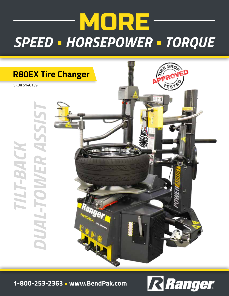## MORE *SPEED • HORSEPOWER • TORQUE*



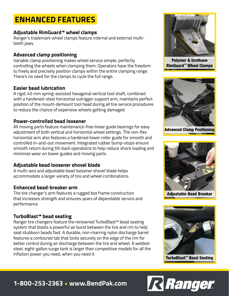## **ENHANCED FEATURES**

#### **Adjustable RimGuard™ wheel clamps**

Ranger's trademark wheel clamps feature internal and external multiteeth jaws.

#### **Advanced clamp positioning**

Variable clamp positioning makes wheel service simple, perfectly controlling the wheels when clamping them. Operators have the freedom to freely and precisely position clamps within the entire clamping range. There's no need for the clamps to cycle the full range.

#### **Easier bead lubrication**

A rigid, 45 mm spring-assisted hexagonal vertical tool shaft, combined with a hardened-steel horizontal outrigger support arm, maintains perfect position of the mount-demount tool head during all tire service procedures to reduce the chance of expensive wheels getting damaged.

#### **Power-controlled bead loosener**

All moving parts feature maintenance-free linear guide bearings for easy adjustment of both vertical and horizontal wheel settings. The non-flex horizontal arm also features a hardened lower roller guide for smooth and controlled in-and-out movement. Integrated rubber bump-stops ensure smooth return during tilt-back operations to help reduce shock loading and minimize wear on tower guides and moving parts.

#### **Adjustable bead loosener shovel blade**

A multi-axis and adjustable bead loosener shovel blade helps accommodate a larger variety of tire and wheel combinations.

#### **Enhanced bead-breaker arm**

The tire changer's arm features a rugged box frame construction that increases strength and ensures years of dependable service and performance.

#### **TurboBlast™ bead seating**

Ranger tire changers feature the renowned TurboBlast™ bead seating system that blasts a powerful air burst between the tire and rim to help seat stubborn beads fast. A durable, non-marring nylon discharge barrel features a contoured tab that locks securely on the edge of the rim for better control during air discharge between the tire and wheel. A weldedsteel, eight-gallon surge tank is larger than competitive models for all the inflation power you need, when you need it.



Polymer & Urethane RimGuard™ Wheel Clamps



Advanced Clamp Positioning



Adjustable Bead Breaker



TurboBlast™ Bead Seating

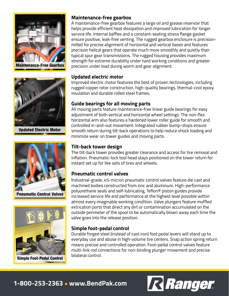



Updated Electric Motor



Pneumatic Control Valves



Simple Foot-Pedal Control

#### **Maintenance-free gearbox**

A maintenance-free gearbox features a large oil and grease reservoir that helps provide efficient heat dissipation and improved lubrication for longer service life. Internal baffles and a constant-seating stress flange gasket ensure positive, leak-free venting. The rugged gearbox enclosure is precisionmilled for precise alignment of horizontal and vertical bases and features precision helical gears that operate much more smoothly and quietly than typical spur gear transmissions. The rugged housing provides maximum strength for extreme durability under hard working conditions and greater precision under load during worm and gear alignment.

#### **Updated electric motor**

Improved electric motor features the best of proven technologies, including rugged copper rotor construction, high-quality bearings, thermal-cool epoxy insulation and durable rolled steel frames.

#### **Guide bearings for all moving parts**

All moving parts feature maintenance-free linear guide bearings for easy adjustment of both vertical and horizontal wheel settings. The non-flex horizontal arm also features a hardened lower roller guide for smooth and controlled in-and-out movement. Integrated rubber bump-stops ensure smooth return during tilt-back operations to help reduce shock loading and minimize wear on tower guides and moving parts.

#### **Tilt-back tower design**

The tilt-back tower provides greater clearance and access for tire removal and inflation. Pneumatic-lock tool head stays positioned on the tower return for instant set up for like sets of tires and wheels.

#### **Pneumatic control valves**

Industrial-grade, 45-micron pneumatic control valves feature die cast and machined bodies constructed from zinc and aluminum. High-performance polyurethane seals and self-lubricating, Teflon® piston guides provide increased service life and performance at the highest level possible within almost every imaginable working condition. Valve plungers feature muffled extrication ports that direct any dirt or contamination accumulated on the outside perimeter of the spool to be automatically blown away each time the valve goes into the release position.

#### **Simple foot-pedal control**

Durable forged steel (instead of cast iron) foot pedal levers will stand up to everyday use and abuse in high-volume tire centers. Snap action spring return means precise and controlled operation. Foot-pedal control valves feature multi-link rod connections for non-binding plunger movement and precise bilateral control.

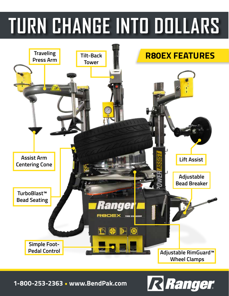# **TURN CHANGE INTO DOLLARS**



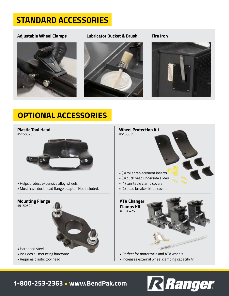## **STANDARD ACCESSORIES**

#### **Adjustable Wheel Clamps Lubricator Bucket & Brush Tire Iron**







## **OPTIONAL ACCESSORIES**

#### **Plastic Tool Head** #5150523



- Helps protect expensive alloy wheels
- Must have duck head flange adapter. Not included.

#### **Mounting Flange**

#5150524



- Hardened steel
- Includes all mounting hardware
- Requires plastic tool head



- Perfect for motorcycle and ATV wheels
- Increases external wheel clamping capacity 4"